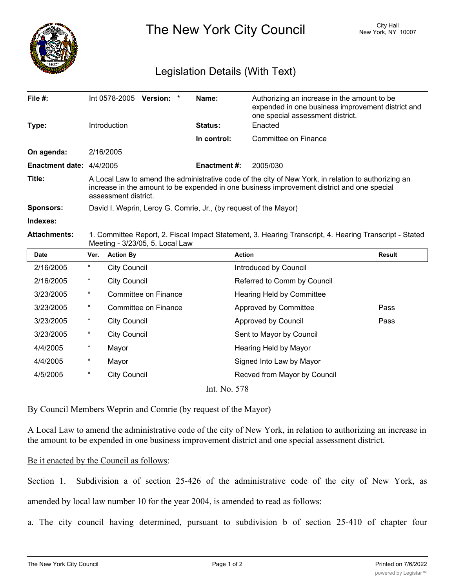

The New York City Council New York, NY 10007

## Legislation Details (With Text)

| File #:                                     |                                                                                                                                                                                                                           | Int 0578-2005 Version:      | Name:               | Authorizing an increase in the amount to be<br>expended in one business improvement district and<br>one special assessment district. |               |
|---------------------------------------------|---------------------------------------------------------------------------------------------------------------------------------------------------------------------------------------------------------------------------|-----------------------------|---------------------|--------------------------------------------------------------------------------------------------------------------------------------|---------------|
| Type:                                       |                                                                                                                                                                                                                           | Introduction                | <b>Status:</b>      | Enacted                                                                                                                              |               |
|                                             |                                                                                                                                                                                                                           |                             | In control:         | Committee on Finance                                                                                                                 |               |
| On agenda:                                  |                                                                                                                                                                                                                           | 2/16/2005                   |                     |                                                                                                                                      |               |
| Enactment date: 4/4/2005                    |                                                                                                                                                                                                                           |                             | <b>Enactment #:</b> | 2005/030                                                                                                                             |               |
| Title:                                      | A Local Law to amend the administrative code of the city of New York, in relation to authorizing an<br>increase in the amount to be expended in one business improvement district and one special<br>assessment district. |                             |                     |                                                                                                                                      |               |
| Sponsors:                                   | David I. Weprin, Leroy G. Comrie, Jr., (by request of the Mayor)                                                                                                                                                          |                             |                     |                                                                                                                                      |               |
| Indexes:                                    |                                                                                                                                                                                                                           |                             |                     |                                                                                                                                      |               |
| <b>Attachments:</b>                         | 1. Committee Report, 2. Fiscal Impact Statement, 3. Hearing Transcript, 4. Hearing Transcript - Stated<br>Meeting - 3/23/05, 5. Local Law                                                                                 |                             |                     |                                                                                                                                      |               |
| <b>Date</b>                                 | Ver.                                                                                                                                                                                                                      | <b>Action By</b>            |                     | <b>Action</b>                                                                                                                        | <b>Result</b> |
| 2/16/2005                                   | $^\star$                                                                                                                                                                                                                  | <b>City Council</b>         |                     | Introduced by Council                                                                                                                |               |
| 2/16/2005                                   | $\ast$                                                                                                                                                                                                                    | <b>City Council</b>         |                     | Referred to Comm by Council                                                                                                          |               |
| 3/23/2005                                   | *                                                                                                                                                                                                                         | <b>Committee on Finance</b> |                     | <b>Hearing Held by Committee</b>                                                                                                     |               |
| 3/23/2005                                   | *                                                                                                                                                                                                                         | Committee on Finance        |                     | Approved by Committee                                                                                                                | Pass          |
| 3/23/2005                                   | *                                                                                                                                                                                                                         | <b>City Council</b>         |                     | Approved by Council                                                                                                                  | Pass          |
| 3/23/2005                                   | *                                                                                                                                                                                                                         | <b>City Council</b>         |                     | Sent to Mayor by Council                                                                                                             |               |
| 4/4/2005                                    | *                                                                                                                                                                                                                         | Mayor                       |                     | Hearing Held by Mayor                                                                                                                |               |
| 4/4/2005                                    | *                                                                                                                                                                                                                         | Mayor                       |                     | Signed Into Law by Mayor                                                                                                             |               |
| 4/5/2005                                    | *                                                                                                                                                                                                                         | <b>City Council</b>         |                     | Recved from Mayor by Council                                                                                                         |               |
| $L_{\text{L}}$ $\mathbf{M}$ $\mathbf{F}$ 70 |                                                                                                                                                                                                                           |                             |                     |                                                                                                                                      |               |

Int. No. 578

By Council Members Weprin and Comrie (by request of the Mayor)

A Local Law to amend the administrative code of the city of New York, in relation to authorizing an increase in the amount to be expended in one business improvement district and one special assessment district.

## Be it enacted by the Council as follows:

Section 1. Subdivision a of section 25-426 of the administrative code of the city of New York, as amended by local law number 10 for the year 2004, is amended to read as follows:

a. The city council having determined, pursuant to subdivision b of section 25-410 of chapter four